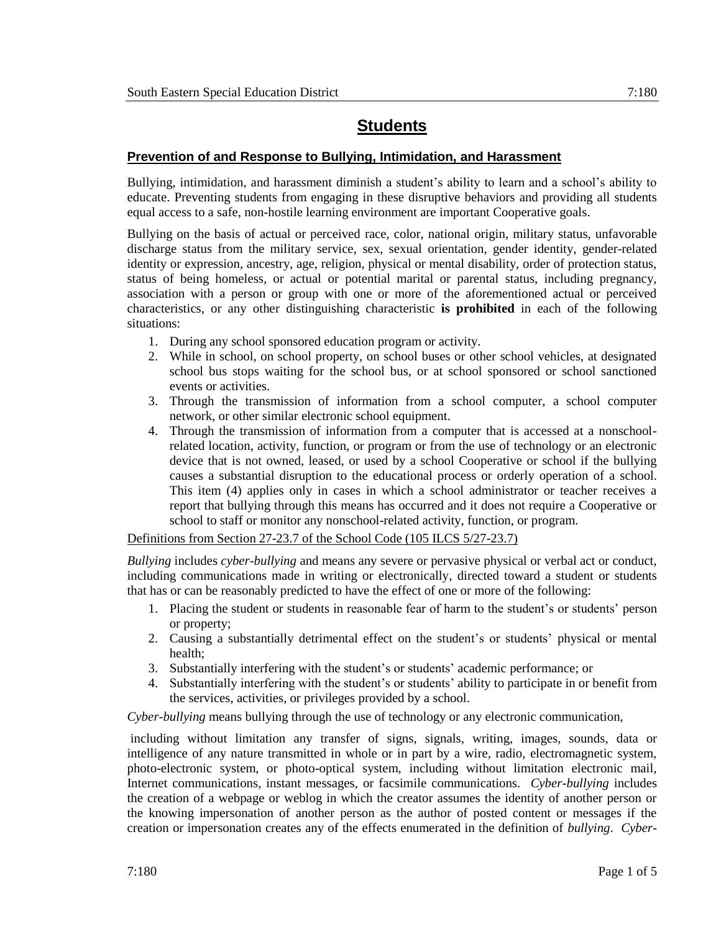## **Students**

## **Prevention of and Response to Bullying, Intimidation, and Harassment**

Bullying, intimidation, and harassment diminish a student's ability to learn and a school's ability to educate. Preventing students from engaging in these disruptive behaviors and providing all students equal access to a safe, non-hostile learning environment are important Cooperative goals.

Bullying on the basis of actual or perceived race, color, national origin, military status, unfavorable discharge status from the military service, sex, sexual orientation, gender identity, gender-related identity or expression, ancestry, age, religion, physical or mental disability, order of protection status, status of being homeless, or actual or potential marital or parental status, including pregnancy, association with a person or group with one or more of the aforementioned actual or perceived characteristics, or any other distinguishing characteristic **is prohibited** in each of the following situations:

- 1. During any school sponsored education program or activity.
- 2. While in school, on school property, on school buses or other school vehicles, at designated school bus stops waiting for the school bus, or at school sponsored or school sanctioned events or activities.
- 3. Through the transmission of information from a school computer, a school computer network, or other similar electronic school equipment.
- 4. Through the transmission of information from a computer that is accessed at a nonschoolrelated location, activity, function, or program or from the use of technology or an electronic device that is not owned, leased, or used by a school Cooperative or school if the bullying causes a substantial disruption to the educational process or orderly operation of a school. This item (4) applies only in cases in which a school administrator or teacher receives a report that bullying through this means has occurred and it does not require a Cooperative or school to staff or monitor any nonschool-related activity, function, or program.

Definitions from Section 27-23.7 of the School Code (105 ILCS 5/27-23.7)

*Bullying* includes *cyber-bullying* and means any severe or pervasive physical or verbal act or conduct, including communications made in writing or electronically, directed toward a student or students that has or can be reasonably predicted to have the effect of one or more of the following:

- 1. Placing the student or students in reasonable fear of harm to the student's or students' person or property;
- 2. Causing a substantially detrimental effect on the student's or students' physical or mental health;
- 3. Substantially interfering with the student's or students' academic performance; or
- 4. Substantially interfering with the student's or students' ability to participate in or benefit from the services, activities, or privileges provided by a school.

*Cyber-bullying* means bullying through the use of technology or any electronic communication,

including without limitation any transfer of signs, signals, writing, images, sounds, data or intelligence of any nature transmitted in whole or in part by a wire, radio, electromagnetic system, photo-electronic system, or photo-optical system, including without limitation electronic mail, Internet communications, instant messages, or facsimile communications. *Cyber-bullying* includes the creation of a webpage or weblog in which the creator assumes the identity of another person or the knowing impersonation of another person as the author of posted content or messages if the creation or impersonation creates any of the effects enumerated in the definition of *bullying*. *Cyber-*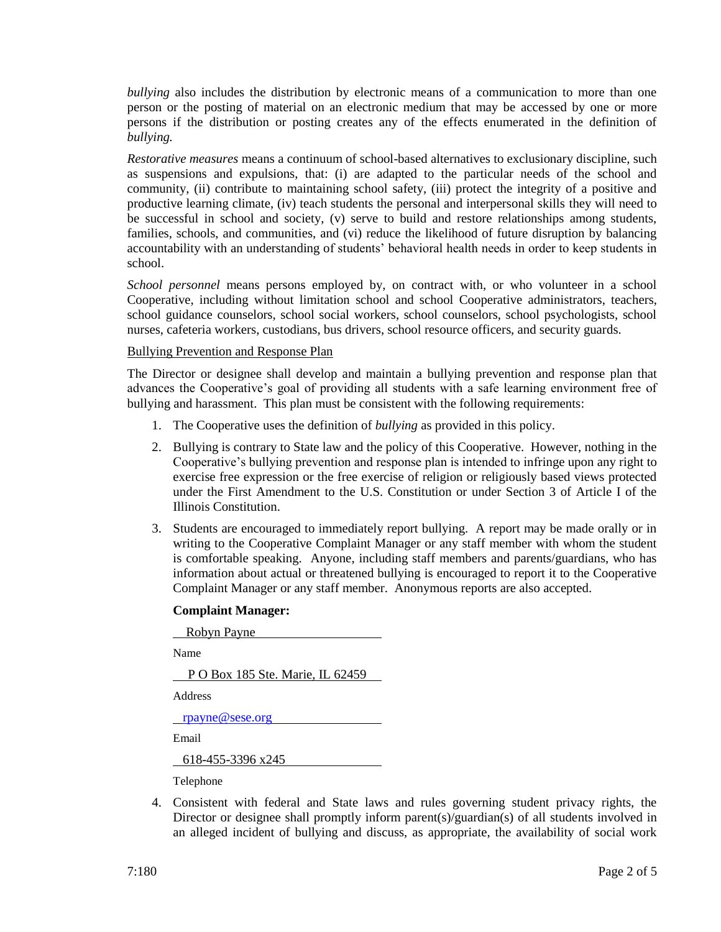*bullying* also includes the distribution by electronic means of a communication to more than one person or the posting of material on an electronic medium that may be accessed by one or more persons if the distribution or posting creates any of the effects enumerated in the definition of *bullying.*

*Restorative measures* means a continuum of school-based alternatives to exclusionary discipline, such as suspensions and expulsions, that: (i) are adapted to the particular needs of the school and community, (ii) contribute to maintaining school safety, (iii) protect the integrity of a positive and productive learning climate, (iv) teach students the personal and interpersonal skills they will need to be successful in school and society, (v) serve to build and restore relationships among students, families, schools, and communities, and (vi) reduce the likelihood of future disruption by balancing accountability with an understanding of students' behavioral health needs in order to keep students in school.

*School personnel* means persons employed by, on contract with, or who volunteer in a school Cooperative, including without limitation school and school Cooperative administrators, teachers, school guidance counselors, school social workers, school counselors, school psychologists, school nurses, cafeteria workers, custodians, bus drivers, school resource officers, and security guards.

## Bullying Prevention and Response Plan

The Director or designee shall develop and maintain a bullying prevention and response plan that advances the Cooperative's goal of providing all students with a safe learning environment free of bullying and harassment. This plan must be consistent with the following requirements:

- 1. The Cooperative uses the definition of *bullying* as provided in this policy.
- 2. Bullying is contrary to State law and the policy of this Cooperative. However, nothing in the Cooperative's bullying prevention and response plan is intended to infringe upon any right to exercise free expression or the free exercise of religion or religiously based views protected under the First Amendment to the U.S. Constitution or under Section 3 of Article I of the Illinois Constitution.
- 3. Students are encouraged to immediately report bullying. A report may be made orally or in writing to the Cooperative Complaint Manager or any staff member with whom the student is comfortable speaking. Anyone, including staff members and parents/guardians, who has information about actual or threatened bullying is encouraged to report it to the Cooperative Complaint Manager or any staff member. Anonymous reports are also accepted.

## **Complaint Manager:**

Robyn Payne

Name

P O Box 185 Ste. Marie, IL 62459

Address

[rpayne@sese.org](mailto:rpayne@sese.org)

Email

618-455-3396 x245

Telephone

4. Consistent with federal and State laws and rules governing student privacy rights, the Director or designee shall promptly inform parent(s)/guardian(s) of all students involved in an alleged incident of bullying and discuss, as appropriate, the availability of social work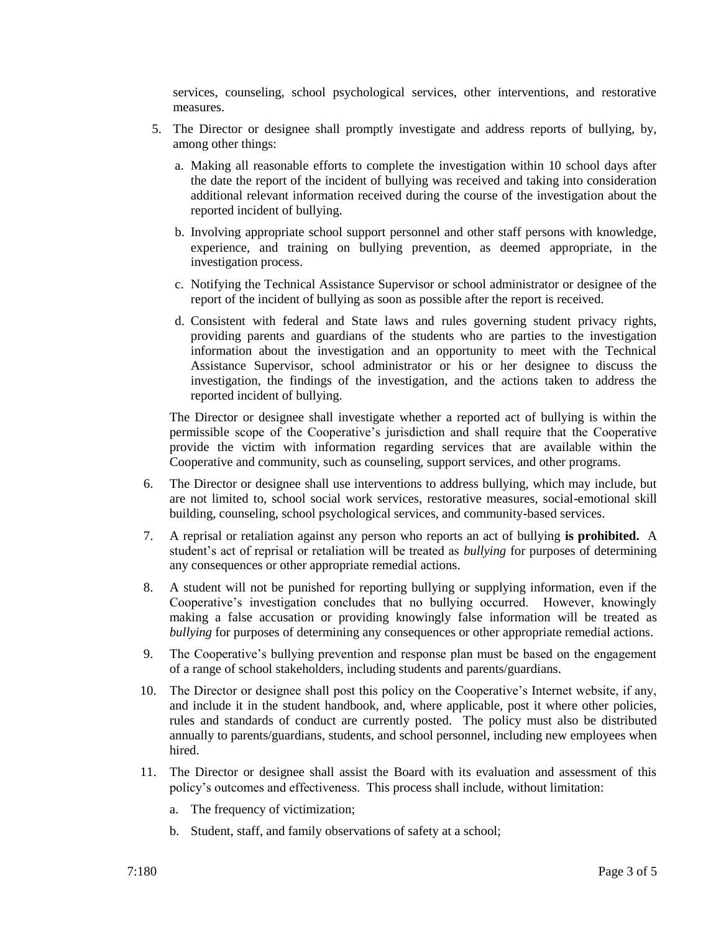services, counseling, school psychological services, other interventions, and restorative measures.

- 5. The Director or designee shall promptly investigate and address reports of bullying, by, among other things:
	- a. Making all reasonable efforts to complete the investigation within 10 school days after the date the report of the incident of bullying was received and taking into consideration additional relevant information received during the course of the investigation about the reported incident of bullying.
	- b. Involving appropriate school support personnel and other staff persons with knowledge, experience, and training on bullying prevention, as deemed appropriate, in the investigation process.
	- c. Notifying the Technical Assistance Supervisor or school administrator or designee of the report of the incident of bullying as soon as possible after the report is received.
	- d. Consistent with federal and State laws and rules governing student privacy rights, providing parents and guardians of the students who are parties to the investigation information about the investigation and an opportunity to meet with the Technical Assistance Supervisor, school administrator or his or her designee to discuss the investigation, the findings of the investigation, and the actions taken to address the reported incident of bullying.

The Director or designee shall investigate whether a reported act of bullying is within the permissible scope of the Cooperative's jurisdiction and shall require that the Cooperative provide the victim with information regarding services that are available within the Cooperative and community, such as counseling, support services, and other programs.

- 6. The Director or designee shall use interventions to address bullying, which may include, but are not limited to, school social work services, restorative measures, social-emotional skill building, counseling, school psychological services, and community-based services.
- 7. A reprisal or retaliation against any person who reports an act of bullying **is prohibited.** A student's act of reprisal or retaliation will be treated as *bullying* for purposes of determining any consequences or other appropriate remedial actions.
- 8. A student will not be punished for reporting bullying or supplying information, even if the Cooperative's investigation concludes that no bullying occurred. However, knowingly making a false accusation or providing knowingly false information will be treated as *bullying* for purposes of determining any consequences or other appropriate remedial actions.
- 9. The Cooperative's bullying prevention and response plan must be based on the engagement of a range of school stakeholders, including students and parents/guardians.
- 10. The Director or designee shall post this policy on the Cooperative's Internet website, if any, and include it in the student handbook, and, where applicable, post it where other policies, rules and standards of conduct are currently posted. The policy must also be distributed annually to parents/guardians, students, and school personnel, including new employees when hired.
- 11. The Director or designee shall assist the Board with its evaluation and assessment of this policy's outcomes and effectiveness. This process shall include, without limitation:
	- a. The frequency of victimization;
	- b. Student, staff, and family observations of safety at a school;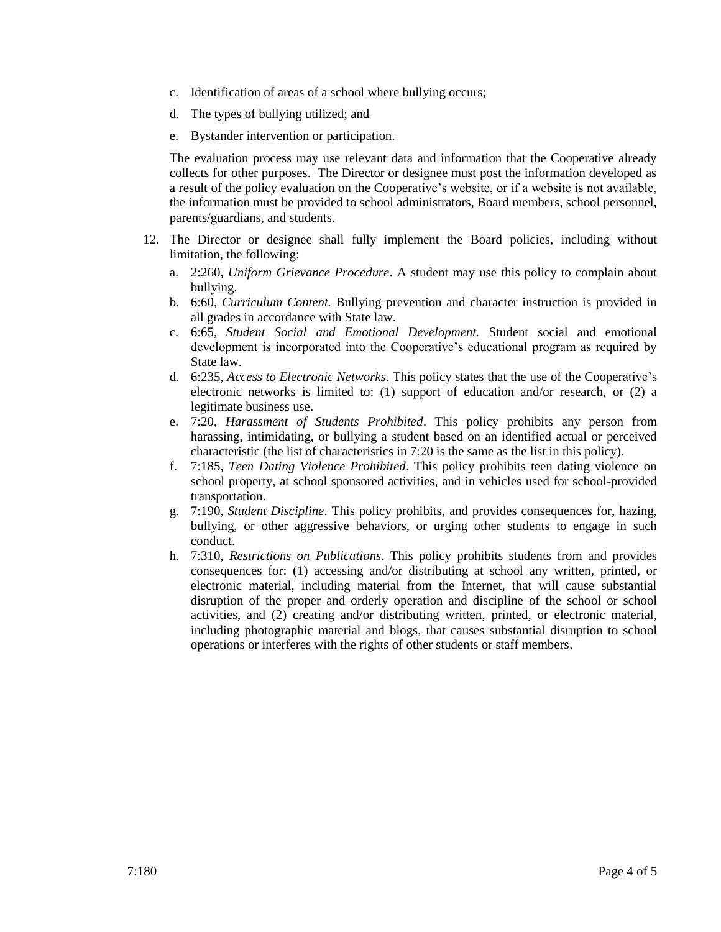- c. Identification of areas of a school where bullying occurs;
- d. The types of bullying utilized; and
- e. Bystander intervention or participation.

The evaluation process may use relevant data and information that the Cooperative already collects for other purposes. The Director or designee must post the information developed as a result of the policy evaluation on the Cooperative's website, or if a website is not available, the information must be provided to school administrators, Board members, school personnel, parents/guardians, and students.

- 12. The Director or designee shall fully implement the Board policies, including without limitation, the following:
	- a. 2:260, *Uniform Grievance Procedure*. A student may use this policy to complain about bullying.
	- b. 6:60, *Curriculum Content.* Bullying prevention and character instruction is provided in all grades in accordance with State law.
	- c. 6:65, *Student Social and Emotional Development.* Student social and emotional development is incorporated into the Cooperative's educational program as required by State law.
	- d. 6:235, *Access to Electronic Networks*. This policy states that the use of the Cooperative's electronic networks is limited to: (1) support of education and/or research, or (2) a legitimate business use.
	- e. 7:20, *Harassment of Students Prohibited*. This policy prohibits any person from harassing, intimidating, or bullying a student based on an identified actual or perceived characteristic (the list of characteristics in 7:20 is the same as the list in this policy).
	- f. 7:185, *Teen Dating Violence Prohibited*. This policy prohibits teen dating violence on school property, at school sponsored activities, and in vehicles used for school-provided transportation.
	- g. 7:190, *Student Discipline*. This policy prohibits, and provides consequences for, hazing, bullying, or other aggressive behaviors, or urging other students to engage in such conduct.
	- h. 7:310, *Restrictions on Publications*. This policy prohibits students from and provides consequences for: (1) accessing and/or distributing at school any written, printed, or electronic material, including material from the Internet, that will cause substantial disruption of the proper and orderly operation and discipline of the school or school activities, and (2) creating and/or distributing written, printed, or electronic material, including photographic material and blogs, that causes substantial disruption to school operations or interferes with the rights of other students or staff members.